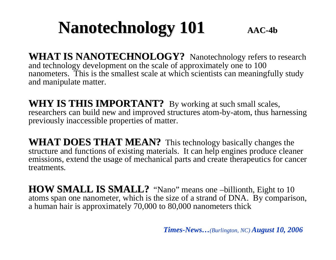### **Nanotechnology 101**  $AA$  $C$ -4b

**WHAT IS NANOTECHNOLOGY?** Nanotechnology refers to research and technology development on the scale of approximately one to 100 nanometers. This is the smallest scale at which scientists can meaningfully study and manipulate matter.

**WHY IS THIS IMPORTANT?** By working at such small scales, researchers can build new and improved structures atom-by-atom, thus harnessing previously inaccessible properties of matter.

**WHAT DOES THAT MEAN?** This technology basically changes the structure and functions of existing materials. It can help engines produce cleaner emissions, extend the usage of mechanical parts and create therapeutics for cancer treatments.

**HOW SMALL IS SMALL?** "Nano" means one –billionth, Eight to 10 atoms span one nanometer, which is the size of a strand of DNA. By comparison, a human hair is approximately 70,000 to 80,000 nanometers thick

*Times-News…(Burlington, NC) August 10, 2006*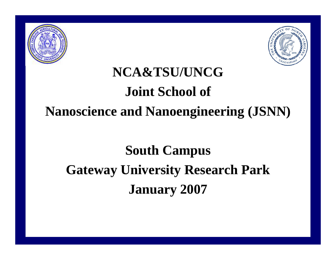



## **NCA&TSU/UNCG Joint School of Nanoscience and Nanoengineering (JSNN)**

# **South Campus Gateway University Research Park January 2007**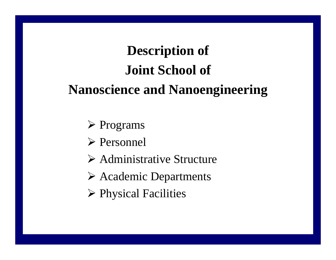# **Description of Joint School of Nanoscience and Nanoengineering**

- ¾ Programs
- ¾ Personnel
- ¾ Administrative Structure
- ¾ Academic Departments
- ¾ Physical Facilities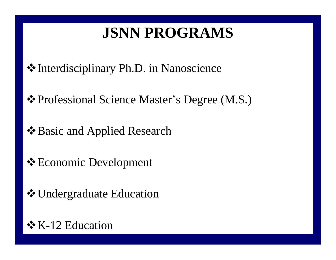## **JSNN PROGRAMS**

Interdisciplinary Ph.D. in Nanoscience

Professional Science Master's Degree (M.S.)

- Basic and Applied Research
- **Execute Development**
- **❖ Undergraduate Education**

### $\div$  K-12 Education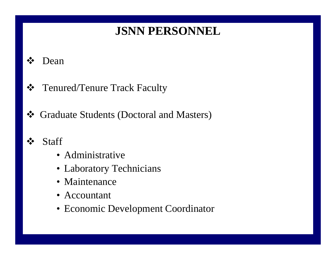### **JSNN PERSONNEL**

#### $\cdot$ Dean

- $\frac{1}{2}$ Tenured/Tenure Track Faculty
- $\frac{1}{2}$ Graduate Students (Doctoral and Masters)
- $\frac{1}{2}$ **Staff** 
	- Administrative
	- Laboratory Technicians
	- Maintenance
	- Accountant
	- Economic Development Coordinator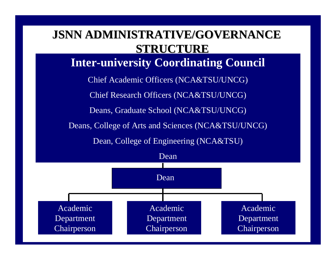### **JSNN ADMINISTRATIVE/GOVERNANCE JSNN ADMINISTRATIVE/GOVERNANCE STRUCTURE STRUCTURE**

**Inter-university Coordinating Council**

Chief Academic Officers (NCA&TSU/UNCG)

Chief Research Officers (NCA&TSU/UNCG)

Deans, Graduate School (NCA&TSU/UNCG)

Deans, College of Arts and Sciences (NCA&TSU/UNCG)

Dean, College of Engineering (NCA&TSU)

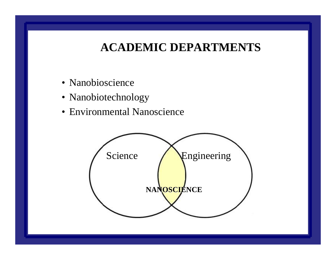### **ACADEMIC DEPARTMENTS**

- Nanobioscience
- Nanobiotechnology
- Environmental Nanoscience

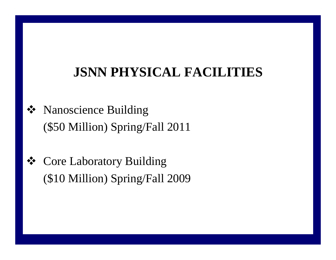## **JSNN PHYSICAL FACILITIES**

- Nanoscience Building (\$50 Million) Spring/Fall 2011
- Core Laboratory Building (\$10 Million) Spring/Fall 2009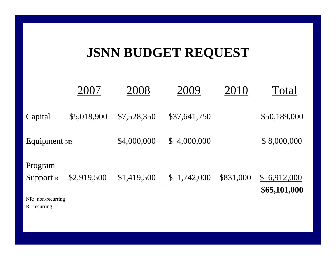## **JSNN BUDGET REQUEST**

|                             | 2007        | 2008        | 2009         | 2010      | Total                       |
|-----------------------------|-------------|-------------|--------------|-----------|-----------------------------|
| Capital                     | \$5,018,900 | \$7,528,350 | \$37,641,750 |           | \$50,189,000                |
| Equipment NR                |             | \$4,000,000 | \$4,000,000  |           | \$8,000,000                 |
| Program<br><b>Support</b> R | \$2,919,500 | \$1,419,500 | \$1,742,000  | \$831,000 | \$6,912,000<br>\$65,101,000 |

NR: non-recurring

R: recurring